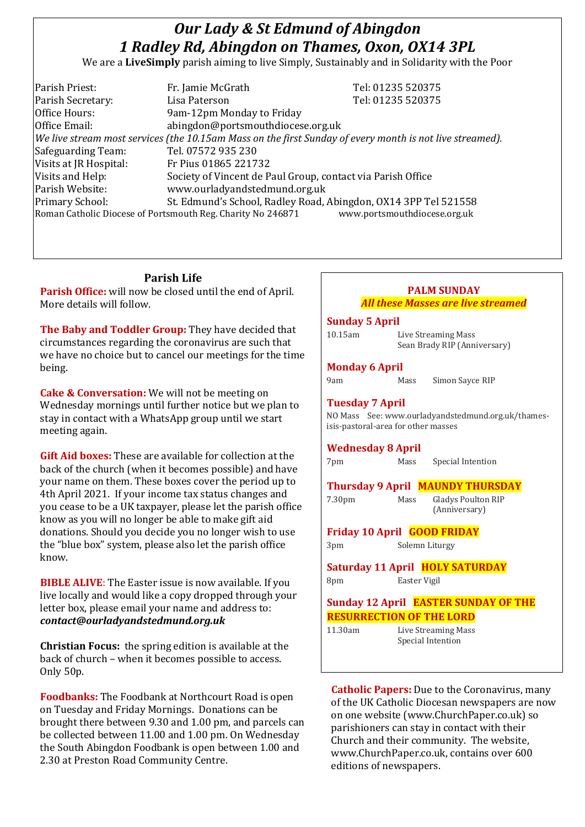# *Our Lady & St Edmund of Abingdon 1 Radley Rd, Abingdon on Thames, Oxon, OX14 3PL*

We are a **LiveSimply** parish aiming to live Simply, Sustainably and in Solidarity with the Poor

| Parish Priest:         | Fr. Jamie McGrath                                                                                        | Tel: 01235 520375            |  |
|------------------------|----------------------------------------------------------------------------------------------------------|------------------------------|--|
| Parish Secretary:      | Lisa Paterson                                                                                            | Tel: 01235 520375            |  |
| Office Hours:          | 9am-12pm Monday to Friday                                                                                |                              |  |
| Office Email:          | abingdon@portsmouthdiocese.org.uk                                                                        |                              |  |
|                        | We live stream most services (the 10.15am Mass on the first Sunday of every month is not live streamed). |                              |  |
| Safeguarding Team:     | Tel. 07572 935 230                                                                                       |                              |  |
| Visits at JR Hospital: | Fr Pius 01865 221732                                                                                     |                              |  |
| Visits and Help:       | Society of Vincent de Paul Group, contact via Parish Office                                              |                              |  |
| Parish Website:        | www.ourladyandstedmund.org.uk                                                                            |                              |  |
| <b>Primary School:</b> | St. Edmund's School, Radley Road, Abingdon, OX14 3PP Tel 521558                                          |                              |  |
|                        | Roman Catholic Diocese of Portsmouth Reg. Charity No 246871                                              | www.portsmouthdiocese.org.uk |  |

#### **Parish Life**

**Parish Office:** will now be closed until the end of April. More details will follow.

**The Baby and Toddler Group:** They have decided that circumstances regarding the coronavirus are such that we have no choice but to cancel our meetings for the time being.

**Cake & Conversation:** We will not be meeting on Wednesday mornings until further notice but we plan to stay in contact with a WhatsApp group until we start meeting again.

**Gift Aid boxes:** These are available for collection at the back of the church (when it becomes possible) and have your name on them. These boxes cover the period up to 4th April 2021. If your income tax status changes and you cease to be a UK taxpayer, please let the parish office know as you will no longer be able to make gift aid donations. Should you decide you no longer wish to use the "blue box" system, please also let the parish office know.

**BIBLE ALIVE**: The Easter issue is now available. If you live locally and would like a copy dropped through your letter box, please email your name and address to: *contact@ourladyandstedmund.org.uk*

**Christian Focus:** the spring edition is available at the back of church – when it becomes possible to access. Only 50p.

**Foodbanks:** The Foodbank at Northcourt Road is open on Tuesday and Friday Mornings. Donations can be brought there between 9.30 and 1.00 pm, and parcels can be collected between 11.00 and 1.00 pm. On Wednesday the South Abingdon Foodbank is open between 1.00 and 2.30 at Preston Road Community Centre.

# **PALM SUNDAY** *All these Masses are live streamed*

#### **Sunday 5 April**

| 10.15am | Live Streaming Mass          |
|---------|------------------------------|
|         | Sean Brady RIP (Anniversary) |

#### **Monday 6 April**

Mass Simon Sayce RIP

(Anniversary)

### **Tuesday 7 April**

NO Mass See: www.ourladyandstedmund.org.uk/thamesisis-pastoral-area for other masses

#### **Wednesday 8 April**

| 7pm | Mass | Special Intention |
|-----|------|-------------------|
|     |      |                   |

**Thursday 9 April MAUNDY THURSDAY** 7.30pm Mass Gladys Poulton RIP

**Friday 10 April GOOD FRIDAY**

3pm Solemn Liturgy

**Saturday 11 April HOLY SATURDAY** 8pm Easter Vigil

# **Sunday 12 April EASTER SUNDAY OF THE RESURRECTION OF THE LORD**

11.30am Live Streaming Mass Special Intention

**Catholic Papers:** Due to the Coronavirus, many of the UK Catholic Diocesan newspapers are now on one website (www.ChurchPaper.co.uk) so parishioners can stay in contact with their Church and their community. The website, www.ChurchPaper.co.uk, contains over 600 editions of newspapers.